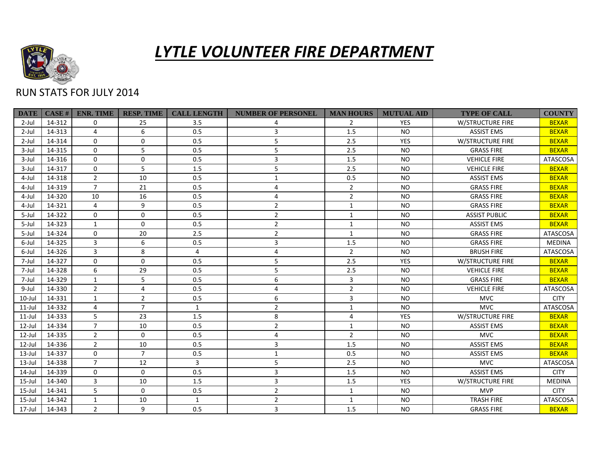

## *LYTLE VOLUNTEER FIRE DEPARTMENT*

## RUN STATS FOR JULY 2014

| <b>DATE</b> | CASE # | <b>ENR. TIME</b> | <b>RESP. TIME</b> | <b>CALL LENGTH</b> | <b>NUMBER OF PERSONEL</b> | <b>MAN HOURS</b> | <b>MUTUAL AID</b> | <b>TYPE OF CALL</b>  | <b>COUNTY</b>   |
|-------------|--------|------------------|-------------------|--------------------|---------------------------|------------------|-------------------|----------------------|-----------------|
| $2$ -Jul    | 14-312 | $\Omega$         | 25                | 3.5                |                           | $\mathbf{2}$     | <b>YES</b>        | W/STRUCTURE FIRE     | <b>BEXAR</b>    |
| $2$ -Jul    | 14-313 | 4                | 6                 | 0.5                | 3                         | 1.5              | <b>NO</b>         | <b>ASSIST EMS</b>    | <b>BEXAR</b>    |
| $2$ -Jul    | 14-314 | $\mathbf 0$      | $\mathbf 0$       | 0.5                | 5                         | 2.5              | <b>YES</b>        | W/STRUCTURE FIRE     | <b>BEXAR</b>    |
| $3$ -Jul    | 14-315 | $\Omega$         | 5                 | 0.5                | 5                         | 2.5              | <b>NO</b>         | <b>GRASS FIRE</b>    | <b>BEXAR</b>    |
| $3$ -Jul    | 14-316 | $\Omega$         | $\mathbf 0$       | 0.5                | 3                         | 1.5              | <b>NO</b>         | <b>VEHICLE FIRE</b>  | <b>ATASCOSA</b> |
| $3$ -Jul    | 14-317 | $\Omega$         | 5                 | 1.5                | 5                         | 2.5              | <b>NO</b>         | <b>VEHICLE FIRE</b>  | <b>BEXAR</b>    |
| 4-Jul       | 14-318 | $\overline{2}$   | 10                | 0.5                | $\mathbf{1}$              | 0.5              | <b>NO</b>         | <b>ASSIST EMS</b>    | <b>BEXAR</b>    |
| 4-Jul       | 14-319 | $\overline{7}$   | 21                | 0.5                | 4                         | $\overline{2}$   | <b>NO</b>         | <b>GRASS FIRE</b>    | <b>BEXAR</b>    |
| 4-Jul       | 14-320 | 10               | 16                | 0.5                | 4                         | $\overline{2}$   | <b>NO</b>         | <b>GRASS FIRE</b>    | <b>BEXAR</b>    |
| 4-Jul       | 14-321 | 4                | 9                 | 0.5                | $\overline{2}$            | $\mathbf{1}$     | <b>NO</b>         | <b>GRASS FIRE</b>    | <b>BEXAR</b>    |
| $5 -$ Jul   | 14-322 | $\mathbf 0$      | $\mathbf 0$       | 0.5                | $\overline{2}$            | $\mathbf{1}$     | <b>NO</b>         | <b>ASSIST PUBLIC</b> | <b>BEXAR</b>    |
| 5-Jul       | 14-323 | $\mathbf{1}$     | $\mathbf 0$       | 0.5                | $\overline{2}$            | 1                | <b>NO</b>         | <b>ASSIST EMS</b>    | <b>BEXAR</b>    |
| 5-Jul       | 14-324 | $\Omega$         | 20                | 2.5                | $\overline{2}$            | $\mathbf{1}$     | <b>NO</b>         | <b>GRASS FIRE</b>    | ATASCOSA        |
| 6-Jul       | 14-325 | $\overline{3}$   | 6                 | 0.5                | 3                         | 1.5              | <b>NO</b>         | <b>GRASS FIRE</b>    | <b>MEDINA</b>   |
| 6-Jul       | 14-326 | 3                | 8                 | $\overline{4}$     | 4                         | $\overline{2}$   | <b>NO</b>         | <b>BRUSH FIRE</b>    | ATASCOSA        |
| 7-Jul       | 14-327 | 0                | $\mathbf 0$       | 0.5                | 5                         | 2.5              | <b>YES</b>        | W/STRUCTURE FIRE     | <b>BEXAR</b>    |
| 7-Jul       | 14-328 | 6                | 29                | 0.5                | 5                         | 2.5              | <b>NO</b>         | <b>VEHICLE FIRE</b>  | <b>BEXAR</b>    |
| 7-Jul       | 14-329 | $\mathbf{1}$     | 5                 | 0.5                | 6                         | 3                | <b>NO</b>         | <b>GRASS FIRE</b>    | <b>BEXAR</b>    |
| 9-Jul       | 14-330 | $\overline{2}$   | 4                 | 0.5                | 4                         | $\overline{2}$   | <b>NO</b>         | <b>VEHICLE FIRE</b>  | ATASCOSA        |
| $10$ -Jul   | 14-331 | $\mathbf{1}$     | $\overline{2}$    | 0.5                | 6                         | 3                | <b>NO</b>         | <b>MVC</b>           | <b>CITY</b>     |
| $11$ -Jul   | 14-332 | 4                | $\overline{7}$    | $\mathbf{1}$       | $\overline{2}$            | $\mathbf{1}$     | <b>NO</b>         | <b>MVC</b>           | ATASCOSA        |
| $11$ -Jul   | 14-333 | 5                | 23                | 1.5                | 8                         | 4                | <b>YES</b>        | W/STRUCTURE FIRE     | <b>BEXAR</b>    |
| $12$ -Jul   | 14-334 | $\overline{7}$   | 10                | 0.5                | $\overline{2}$            | $\mathbf{1}$     | <b>NO</b>         | <b>ASSIST EMS</b>    | <b>BEXAR</b>    |
| $12$ -Jul   | 14-335 | $\overline{2}$   | $\mathbf 0$       | 0.5                | 4                         | $\overline{2}$   | <b>NO</b>         | <b>MVC</b>           | <b>BEXAR</b>    |
| $12$ -Jul   | 14-336 | $\overline{2}$   | 10                | 0.5                | 3                         | 1.5              | <b>NO</b>         | <b>ASSIST EMS</b>    | <b>BEXAR</b>    |
| $13$ -Jul   | 14-337 | $\mathbf 0$      | $\overline{7}$    | 0.5                | $\mathbf{1}$              | 0.5              | <b>NO</b>         | <b>ASSIST EMS</b>    | <b>BEXAR</b>    |
| $13$ -Jul   | 14-338 | $\overline{7}$   | 12                | 3                  | 5                         | 2.5              | <b>NO</b>         | <b>MVC</b>           | ATASCOSA        |
| $14$ -Jul   | 14-339 | $\Omega$         | $\mathbf 0$       | 0.5                | 3                         | 1.5              | <b>NO</b>         | <b>ASSIST EMS</b>    | <b>CITY</b>     |
| $15$ -Jul   | 14-340 | 3                | 10                | 1.5                | $\overline{3}$            | 1.5              | <b>YES</b>        | W/STRUCTURE FIRE     | <b>MEDINA</b>   |
| $15$ -Jul   | 14-341 | 5                | $\mathbf 0$       | 0.5                | $\overline{2}$            | $\mathbf{1}$     | <b>NO</b>         | <b>MVP</b>           | <b>CITY</b>     |
| 15-Jul      | 14-342 | $\mathbf{1}$     | 10                | $\mathbf{1}$       | $\overline{2}$            | $\mathbf{1}$     | <b>NO</b>         | <b>TRASH FIRE</b>    | ATASCOSA        |
| 17-Jul      | 14-343 | $\overline{2}$   | 9                 | 0.5                | 3                         | 1.5              | <b>NO</b>         | <b>GRASS FIRE</b>    | <b>BEXAR</b>    |